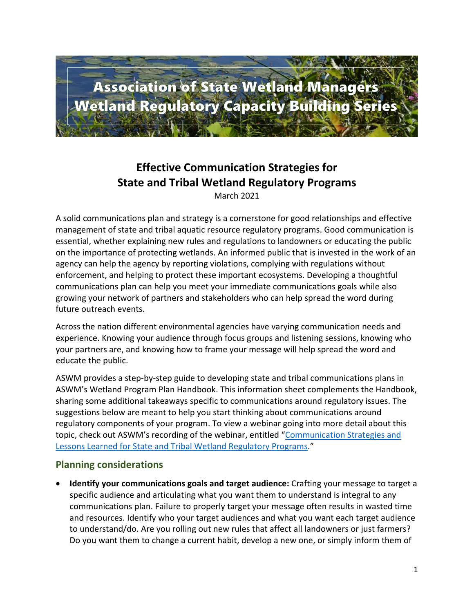

# **Effective Communication Strategies for State and Tribal Wetland Regulatory Programs**

March 2021

A solid communications plan and strategy is a cornerstone for good relationships and effective management of state and tribal aquatic resource regulatory programs. Good communication is essential, whether explaining new rules and regulations to landowners or educating the public on the importance of protecting wetlands. An informed public that is invested in the work of an agency can help the agency by reporting violations, complying with regulations without enforcement, and helping to protect these important ecosystems. Developing a thoughtful communications plan can help you meet your immediate communications goals while also growing your network of partners and stakeholders who can help spread the word during future outreach events.

Across the nation different environmental agencies have varying communication needs and experience. Knowing your audience through focus groups and listening sessions, knowing who your partners are, and knowing how to frame your message will help spread the word and educate the public.

ASWM provides a step-by-step guide to developing state and tribal communications plans in ASWM's Wetland Program Plan Handbook. This information sheet complements the Handbook, sharing some additional takeaways specific to communications around regulatory issues. The suggestions below are meant to help you start thinking about communications around regulatory components of your program. To view a webinar going into more detail about this topic, check out ASWM's recording of the webinar, entitled "[Communication Strategies and](https://www.aswm.org/aswm/aswm-webinarscalls/9722-past-2020-capacity-building-webinar#communications0820)  [Lessons Learned for State and Tribal Wetland Regulatory Programs](https://www.aswm.org/aswm/aswm-webinarscalls/9722-past-2020-capacity-building-webinar#communications0820)."

## **Planning considerations**

• **Identify your communications goals and target audience:** Crafting your message to target a specific audience and articulating what you want them to understand is integral to any communications plan. Failure to properly target your message often results in wasted time and resources. Identify who your target audiences and what you want each target audience to understand/do. Are you rolling out new rules that affect all landowners or just farmers? Do you want them to change a current habit, develop a new one, or simply inform them of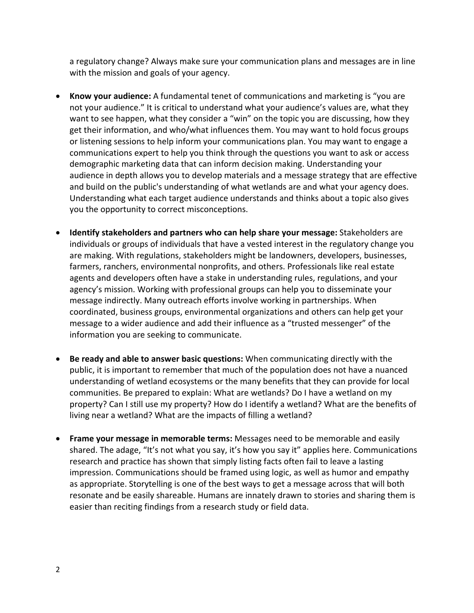a regulatory change? Always make sure your communication plans and messages are in line with the mission and goals of your agency.

- **Know your audience:** A fundamental tenet of communications and marketing is "you are not your audience." It is critical to understand what your audience's values are, what they want to see happen, what they consider a "win" on the topic you are discussing, how they get their information, and who/what influences them. You may want to hold focus groups or listening sessions to help inform your communications plan. You may want to engage a communications expert to help you think through the questions you want to ask or access demographic marketing data that can inform decision making. Understanding your audience in depth allows you to develop materials and a message strategy that are effective and build on the public's understanding of what wetlands are and what your agency does. Understanding what each target audience understands and thinks about a topic also gives you the opportunity to correct misconceptions.
- **Identify stakeholders and partners who can help share your message:** Stakeholders are individuals or groups of individuals that have a vested interest in the regulatory change you are making. With regulations, stakeholders might be landowners, developers, businesses, farmers, ranchers, environmental nonprofits, and others. Professionals like real estate agents and developers often have a stake in understanding rules, regulations, and your agency's mission. Working with professional groups can help you to disseminate your message indirectly. Many outreach efforts involve working in partnerships. When coordinated, business groups, environmental organizations and others can help get your message to a wider audience and add their influence as a "trusted messenger" of the information you are seeking to communicate.
- **Be ready and able to answer basic questions:** When communicating directly with the public, it is important to remember that much of the population does not have a nuanced understanding of wetland ecosystems or the many benefits that they can provide for local communities. Be prepared to explain: What are wetlands? Do I have a wetland on my property? Can I still use my property? How do I identify a wetland? What are the benefits of living near a wetland? What are the impacts of filling a wetland?
- **Frame your message in memorable terms:** Messages need to be memorable and easily shared. The adage, "It's not what you say, it's how you say it" applies here. Communications research and practice has shown that simply listing facts often fail to leave a lasting impression. Communications should be framed using logic, as well as humor and empathy as appropriate. Storytelling is one of the best ways to get a message across that will both resonate and be easily shareable. Humans are innately drawn to stories and sharing them is easier than reciting findings from a research study or field data.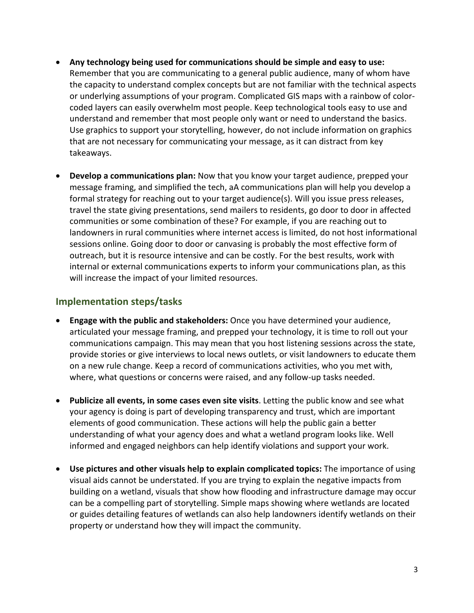- **Any technology being used for communications should be simple and easy to use:** Remember that you are communicating to a general public audience, many of whom have the capacity to understand complex concepts but are not familiar with the technical aspects or underlying assumptions of your program. Complicated GIS maps with a rainbow of colorcoded layers can easily overwhelm most people. Keep technological tools easy to use and understand and remember that most people only want or need to understand the basics. Use graphics to support your storytelling, however, do not include information on graphics that are not necessary for communicating your message, as it can distract from key takeaways.
- **Develop a communications plan:** Now that you know your target audience, prepped your message framing, and simplified the tech, aA communications plan will help you develop a formal strategy for reaching out to your target audience(s). Will you issue press releases, travel the state giving presentations, send mailers to residents, go door to door in affected communities or some combination of these? For example, if you are reaching out to landowners in rural communities where internet access is limited, do not host informational sessions online. Going door to door or canvasing is probably the most effective form of outreach, but it is resource intensive and can be costly. For the best results, work with internal or external communications experts to inform your communications plan, as this will increase the impact of your limited resources.

## **Implementation steps/tasks**

- **Engage with the public and stakeholders:** Once you have determined your audience, articulated your message framing, and prepped your technology, it is time to roll out your communications campaign. This may mean that you host listening sessions across the state, provide stories or give interviews to local news outlets, or visit landowners to educate them on a new rule change. Keep a record of communications activities, who you met with, where, what questions or concerns were raised, and any follow-up tasks needed.
- **Publicize all events, in some cases even site visits**. Letting the public know and see what your agency is doing is part of developing transparency and trust, which are important elements of good communication. These actions will help the public gain a better understanding of what your agency does and what a wetland program looks like. Well informed and engaged neighbors can help identify violations and support your work.
- **Use pictures and other visuals help to explain complicated topics:** The importance of using visual aids cannot be understated. If you are trying to explain the negative impacts from building on a wetland, visuals that show how flooding and infrastructure damage may occur can be a compelling part of storytelling. Simple maps showing where wetlands are located or guides detailing features of wetlands can also help landowners identify wetlands on their property or understand how they will impact the community.